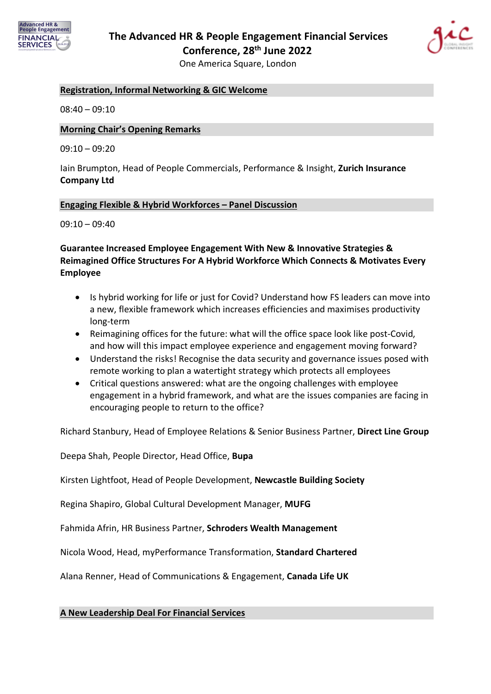



#### **Registration, Informal Networking & GIC Welcome**

 $08:40 - 09:10$ 

#### **Morning Chair's Opening Remarks**

 $09:10 - 09:20$ 

Iain Brumpton, Head of People Commercials, Performance & Insight, **Zurich Insurance Company Ltd**

#### **Engaging Flexible & Hybrid Workforces – Panel Discussion**

 $09:10 - 09:40$ 

### **Guarantee Increased Employee Engagement With New & Innovative Strategies & Reimagined Office Structures For A Hybrid Workforce Which Connects & Motivates Every Employee**

- Is hybrid working for life or just for Covid? Understand how FS leaders can move into a new, flexible framework which increases efficiencies and maximises productivity long-term
- Reimagining offices for the future: what will the office space look like post-Covid, and how will this impact employee experience and engagement moving forward?
- Understand the risks! Recognise the data security and governance issues posed with remote working to plan a watertight strategy which protects all employees
- Critical questions answered: what are the ongoing challenges with employee engagement in a hybrid framework, and what are the issues companies are facing in encouraging people to return to the office?

Richard Stanbury, Head of Employee Relations & Senior Business Partner, **Direct Line Group**

Deepa Shah, People Director, Head Office, **Bupa**

Kirsten Lightfoot, Head of People Development, **Newcastle Building Society**

Regina Shapiro, Global Cultural Development Manager, **MUFG**

Fahmida Afrin, HR Business Partner, **Schroders Wealth Management**

Nicola Wood, Head, myPerformance Transformation, **Standard Chartered**

Alana Renner, Head of Communications & Engagement, **Canada Life UK**

#### **A New Leadership Deal For Financial Services**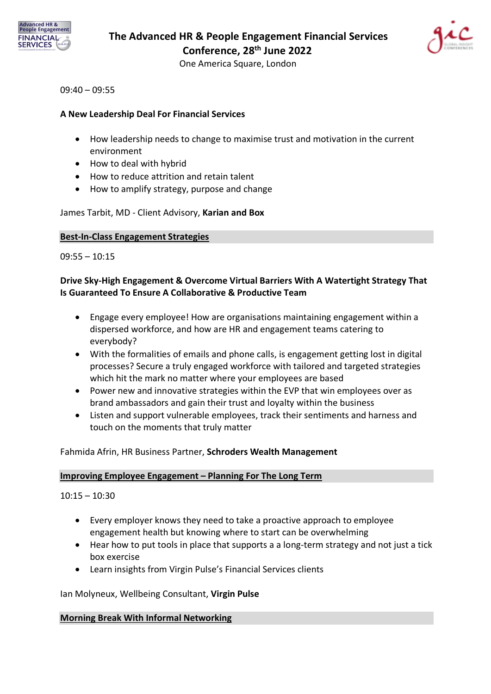



#### $09:40 - 09:55$

### **A New Leadership Deal For Financial Services**

- How leadership needs to change to maximise trust and motivation in the current environment
- How to deal with hybrid
- How to reduce attrition and retain talent
- How to amplify strategy, purpose and change

### James Tarbit, MD - Client Advisory, **Karian and Box**

#### **Best-In-Class Engagement Strategies**

 $09:55 - 10:15$ 

# **Drive Sky-High Engagement & Overcome Virtual Barriers With A Watertight Strategy That Is Guaranteed To Ensure A Collaborative & Productive Team**

- Engage every employee! How are organisations maintaining engagement within a dispersed workforce, and how are HR and engagement teams catering to everybody?
- With the formalities of emails and phone calls, is engagement getting lost in digital processes? Secure a truly engaged workforce with tailored and targeted strategies which hit the mark no matter where your employees are based
- Power new and innovative strategies within the EVP that win employees over as brand ambassadors and gain their trust and loyalty within the business
- Listen and support vulnerable employees, track their sentiments and harness and touch on the moments that truly matter

### Fahmida Afrin, HR Business Partner, **Schroders Wealth Management**

### **Improving Employee Engagement – Planning For The Long Term**

 $10:15 - 10:30$ 

- Every employer knows they need to take a proactive approach to employee engagement health but knowing where to start can be overwhelming
- Hear how to put tools in place that supports a a long-term strategy and not just a tick box exercise
- Learn insights from Virgin Pulse's Financial Services clients

Ian Molyneux, Wellbeing Consultant, **Virgin Pulse**

#### **Morning Break With Informal Networking**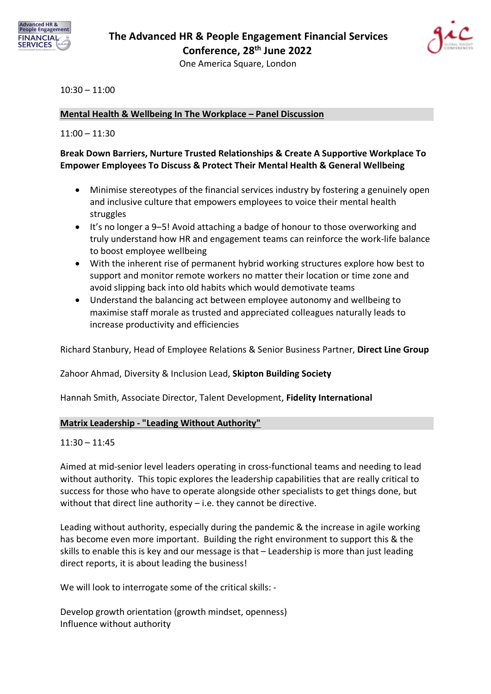



### 10:30 – 11:00

### **Mental Health & Wellbeing In The Workplace – Panel Discussion**

#### 11:00 – 11:30

# **Break Down Barriers, Nurture Trusted Relationships & Create A Supportive Workplace To Empower Employees To Discuss & Protect Their Mental Health & General Wellbeing**

- Minimise stereotypes of the financial services industry by fostering a genuinely open and inclusive culture that empowers employees to voice their mental health struggles
- It's no longer a 9–5! Avoid attaching a badge of honour to those overworking and truly understand how HR and engagement teams can reinforce the work-life balance to boost employee wellbeing
- With the inherent rise of permanent hybrid working structures explore how best to support and monitor remote workers no matter their location or time zone and avoid slipping back into old habits which would demotivate teams
- Understand the balancing act between employee autonomy and wellbeing to maximise staff morale as trusted and appreciated colleagues naturally leads to increase productivity and efficiencies

Richard Stanbury, Head of Employee Relations & Senior Business Partner, **Direct Line Group**

Zahoor Ahmad, Diversity & Inclusion Lead, **Skipton Building Society**

Hannah Smith, Associate Director, Talent Development, **Fidelity International**

#### **Matrix Leadership - "Leading Without Authority"**

#### $11:30 - 11:45$

Aimed at mid-senior level leaders operating in cross-functional teams and needing to lead without authority. This topic explores the leadership capabilities that are really critical to success for those who have to operate alongside other specialists to get things done, but without that direct line authority – i.e. they cannot be directive.

Leading without authority, especially during the pandemic & the increase in agile working has become even more important. Building the right environment to support this & the skills to enable this is key and our message is that – Leadership is more than just leading direct reports, it is about leading the business!

We will look to interrogate some of the critical skills: -

Develop growth orientation (growth mindset, openness) Influence without authority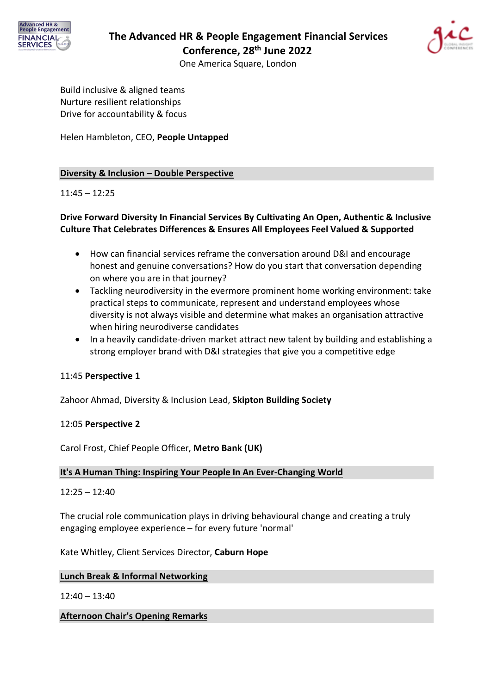



Build inclusive & aligned teams Nurture resilient relationships Drive for accountability & focus

Helen Hambleton, CEO, **People Untapped**

### **Diversity & Inclusion – Double Perspective**

### 11:45 – 12:25

# **Drive Forward Diversity In Financial Services By Cultivating An Open, Authentic & Inclusive Culture That Celebrates Differences & Ensures All Employees Feel Valued & Supported**

- How can financial services reframe the conversation around D&I and encourage honest and genuine conversations? How do you start that conversation depending on where you are in that journey?
- Tackling neurodiversity in the evermore prominent home working environment: take practical steps to communicate, represent and understand employees whose diversity is not always visible and determine what makes an organisation attractive when hiring neurodiverse candidates
- In a heavily candidate-driven market attract new talent by building and establishing a strong employer brand with D&I strategies that give you a competitive edge

#### 11:45 **Perspective 1**

Zahoor Ahmad, Diversity & Inclusion Lead, **Skipton Building Society**

#### 12:05 **Perspective 2**

Carol Frost, Chief People Officer, **Metro Bank (UK)**

#### **It's A Human Thing: Inspiring Your People In An Ever-Changing World**

#### 12:25 – 12:40

The crucial role communication plays in driving behavioural change and creating a truly engaging employee experience – for every future 'normal'

Kate Whitley, Client Services Director, **Caburn Hope**

#### **Lunch Break & Informal Networking**

12:40 – 13:40

**Afternoon Chair's Opening Remarks**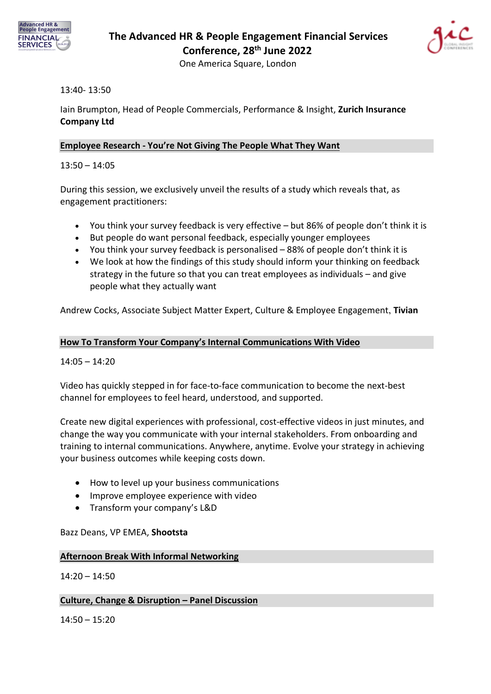



### 13:40- 13:50

Iain Brumpton, Head of People Commercials, Performance & Insight, **Zurich Insurance Company Ltd**

### **Employee Research - You're Not Giving The People What They Want**

13:50 – 14:05

During this session, we exclusively unveil the results of a study which reveals that, as engagement practitioners:

- You think your survey feedback is very effective but 86% of people don't think it is
- But people do want personal feedback, especially younger employees
- You think your survey feedback is personalised 88% of people don't think it is
- We look at how the findings of this study should inform your thinking on feedback strategy in the future so that you can treat employees as individuals – and give people what they actually want

Andrew Cocks, Associate Subject Matter Expert, Culture & Employee Engagement, **Tivian**

#### **How To Transform Your Company's Internal Communications With Video**

14:05 – 14:20

Video has quickly stepped in for face-to-face communication to become the next-best channel for employees to feel heard, understood, and supported.

Create new digital experiences with professional, cost-effective videos in just minutes, and change the way you communicate with your internal stakeholders. From onboarding and training to internal communications. Anywhere, anytime. Evolve your strategy in achieving your business outcomes while keeping costs down.

- How to level up your business communications
- Improve employee experience with video
- Transform your company's L&D

Bazz Deans, VP EMEA, **Shootsta**

#### **Afternoon Break With Informal Networking**

 $14:20 - 14:50$ 

#### **Culture, Change & Disruption – Panel Discussion**

14:50 – 15:20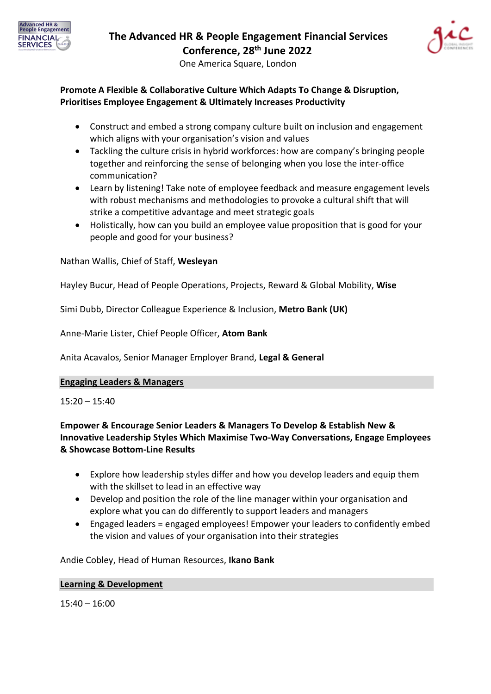



### **Promote A Flexible & Collaborative Culture Which Adapts To Change & Disruption, Prioritises Employee Engagement & Ultimately Increases Productivity**

- Construct and embed a strong company culture built on inclusion and engagement which aligns with your organisation's vision and values
- Tackling the culture crisis in hybrid workforces: how are company's bringing people together and reinforcing the sense of belonging when you lose the inter-office communication?
- Learn by listening! Take note of employee feedback and measure engagement levels with robust mechanisms and methodologies to provoke a cultural shift that will strike a competitive advantage and meet strategic goals
- Holistically, how can you build an employee value proposition that is good for your people and good for your business?

Nathan Wallis, Chief of Staff, **Wesleyan**

Hayley Bucur, Head of People Operations, Projects, Reward & Global Mobility, **Wise**

Simi Dubb, Director Colleague Experience & Inclusion, **Metro Bank (UK)**

Anne-Marie Lister, Chief People Officer, **Atom Bank**

Anita Acavalos, Senior Manager Employer Brand, **Legal & General**

#### **Engaging Leaders & Managers**

15:20 – 15:40

# **Empower & Encourage Senior Leaders & Managers To Develop & Establish New & Innovative Leadership Styles Which Maximise Two-Way Conversations, Engage Employees & Showcase Bottom-Line Results**

- Explore how leadership styles differ and how you develop leaders and equip them with the skillset to lead in an effective way
- Develop and position the role of the line manager within your organisation and explore what you can do differently to support leaders and managers
- Engaged leaders = engaged employees! Empower your leaders to confidently embed the vision and values of your organisation into their strategies

#### Andie Cobley, Head of Human Resources, **Ikano Bank**

#### **Learning & Development**

15:40 – 16:00